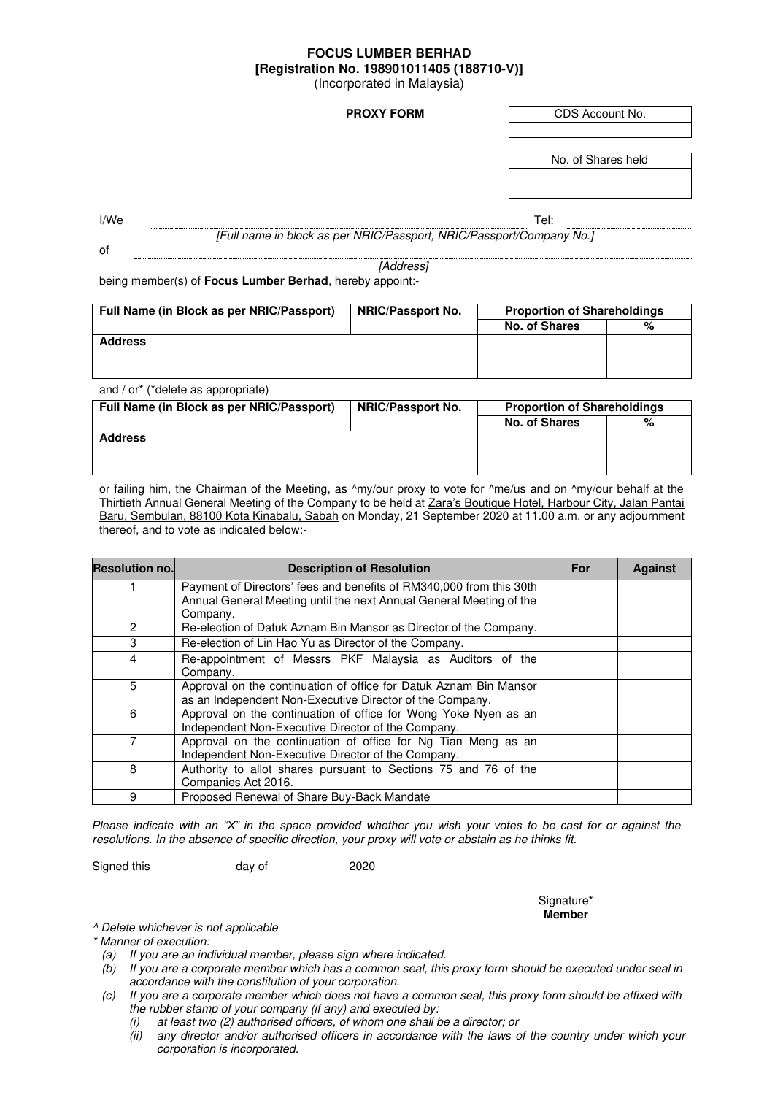## **FOCUS LUMBER BERHAD [Registration No. 198901011405 (188710-V)]**  (Incorporated in Malaysia)

**PROXY FORM CDS Account No.** 

No. of Shares held

of

I/We the contract of the contract of the contract of the contract of the contract of the contract of the contract of the contract of the contract of the contract of the contract of the contract of the contract of the contr *[Full name in block as per NRIC/Passport, NRIC/Passport/Company No.]* 

*[Address]*

being member(s) of **Focus Lumber Berhad**, hereby appoint:-

| Full Name (in Block as per NRIC/Passport) | <b>NRIC/Passport No.</b> | <b>Proportion of Shareholdings</b> |   |
|-------------------------------------------|--------------------------|------------------------------------|---|
|                                           |                          | No. of Shares                      | % |
| <b>Address</b>                            |                          |                                    |   |
|                                           |                          |                                    |   |
|                                           |                          |                                    |   |
| and / or* (*dalata se annroprista)        |                          |                                    |   |

| $\alpha$ and $\beta$ of $\beta$ dollars as appropriate. |                          |                                    |   |  |  |  |
|---------------------------------------------------------|--------------------------|------------------------------------|---|--|--|--|
| Full Name (in Block as per NRIC/Passport)               | <b>NRIC/Passport No.</b> | <b>Proportion of Shareholdings</b> |   |  |  |  |
|                                                         |                          | No. of Shares                      | % |  |  |  |
| <b>Address</b>                                          |                          |                                    |   |  |  |  |
|                                                         |                          |                                    |   |  |  |  |
|                                                         |                          |                                    |   |  |  |  |

or failing him, the Chairman of the Meeting, as ^my/our proxy to vote for ^me/us and on ^my/our behalf at the Thirtieth Annual General Meeting of the Company to be held at Zara's Boutique Hotel, Harbour City, Jalan Pantai Baru, Sembulan, 88100 Kota Kinabalu, Sabah on Monday, 21 September 2020 at 11.00 a.m. or any adjournment thereof, and to vote as indicated below:-

| <b>Resolution no.</b> | <b>Description of Resolution</b>                                                                                                                       | For | <b>Against</b> |
|-----------------------|--------------------------------------------------------------------------------------------------------------------------------------------------------|-----|----------------|
|                       | Payment of Directors' fees and benefits of RM340,000 from this 30th<br>Annual General Meeting until the next Annual General Meeting of the<br>Company. |     |                |
| 2                     | Re-election of Datuk Aznam Bin Mansor as Director of the Company.                                                                                      |     |                |
| 3                     | Re-election of Lin Hao Yu as Director of the Company.                                                                                                  |     |                |
| 4                     | Re-appointment of Messrs PKF Malaysia as Auditors of the<br>Company.                                                                                   |     |                |
| 5                     | Approval on the continuation of office for Datuk Aznam Bin Mansor<br>as an Independent Non-Executive Director of the Company.                          |     |                |
| 6                     | Approval on the continuation of office for Wong Yoke Nyen as an<br>Independent Non-Executive Director of the Company.                                  |     |                |
|                       | Approval on the continuation of office for Ng Tian Meng as an<br>Independent Non-Executive Director of the Company.                                    |     |                |
| 8                     | Authority to allot shares pursuant to Sections 75 and 76 of the<br>Companies Act 2016.                                                                 |     |                |
| 9                     | Proposed Renewal of Share Buy-Back Mandate                                                                                                             |     |                |

*Please indicate with an "X" in the space provided whether you wish your votes to be cast for or against the resolutions. In the absence of specific direction, your proxy will vote or abstain as he thinks fit.* 

Signed this \_\_\_\_\_\_\_\_\_\_\_\_\_\_\_ day of \_\_\_\_\_\_\_\_\_\_\_\_\_\_ 2020

Signature\* **Member**

*^ Delete whichever is not applicable* 

*\* Manner of execution:* 

- *(a) If you are an individual member, please sign where indicated.*
- *(b) If you are a corporate member which has a common seal, this proxy form should be executed under seal in accordance with the constitution of your corporation.*
- *(c) If you are a corporate member which does not have a common seal, this proxy form should be affixed with the rubber stamp of your company (if any) and executed by:* 
	- *(i) at least two (2) authorised officers, of whom one shall be a director; or*
	- *(ii) any director and/or authorised officers in accordance with the laws of the country under which your corporation is incorporated.*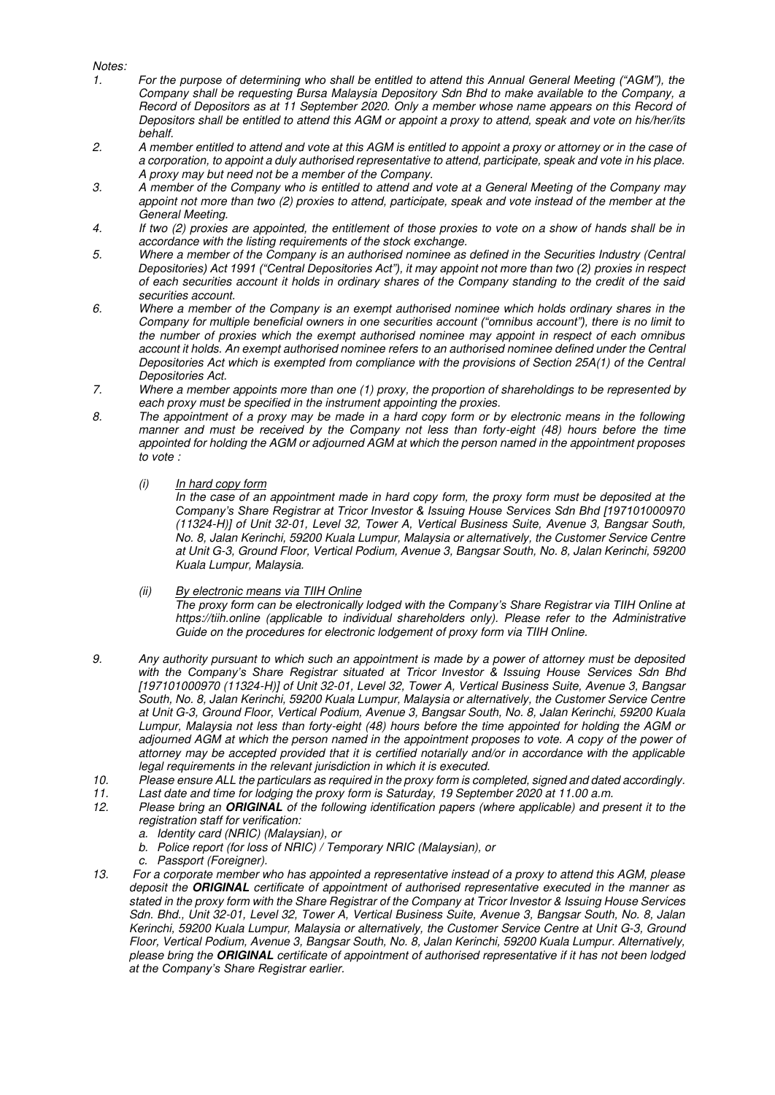## *Notes:*

- *1. For the purpose of determining who shall be entitled to attend this Annual General Meeting ("AGM"), the Company shall be requesting Bursa Malaysia Depository Sdn Bhd to make available to the Company, a Record of Depositors as at 11 September 2020. Only a member whose name appears on this Record of Depositors shall be entitled to attend this AGM or appoint a proxy to attend, speak and vote on his/her/its behalf.*
- *2. A member entitled to attend and vote at this AGM is entitled to appoint a proxy or attorney or in the case of a corporation, to appoint a duly authorised representative to attend, participate, speak and vote in his place. A proxy may but need not be a member of the Company.*
- *3. A member of the Company who is entitled to attend and vote at a General Meeting of the Company may appoint not more than two (2) proxies to attend, participate, speak and vote instead of the member at the General Meeting.*
- *4. If two (2) proxies are appointed, the entitlement of those proxies to vote on a show of hands shall be in accordance with the listing requirements of the stock exchange.*
- *5. Where a member of the Company is an authorised nominee as defined in the Securities Industry (Central Depositories) Act 1991 ("Central Depositories Act"), it may appoint not more than two (2) proxies in respect of each securities account it holds in ordinary shares of the Company standing to the credit of the said securities account.*
- *6. Where a member of the Company is an exempt authorised nominee which holds ordinary shares in the Company for multiple beneficial owners in one securities account ("omnibus account"), there is no limit to the number of proxies which the exempt authorised nominee may appoint in respect of each omnibus account it holds. An exempt authorised nominee refers to an authorised nominee defined under the Central Depositories Act which is exempted from compliance with the provisions of Section 25A(1) of the Central Depositories Act.*
- *7. Where a member appoints more than one (1) proxy, the proportion of shareholdings to be represented by each proxy must be specified in the instrument appointing the proxies.*
- *8. The appointment of a proxy may be made in a hard copy form or by electronic means in the following manner and must be received by the Company not less than forty-eight (48) hours before the time appointed for holding the AGM or adjourned AGM at which the person named in the appointment proposes to vote :* 
	- *(i) In hard copy form*

*In the case of an appointment made in hard copy form, the proxy form must be deposited at the Company's Share Registrar at Tricor Investor & Issuing House Services Sdn Bhd [197101000970 (11324-H)] of Unit 32-01, Level 32, Tower A, Vertical Business Suite, Avenue 3, Bangsar South, No. 8, Jalan Kerinchi, 59200 Kuala Lumpur, Malaysia or alternatively, the Customer Service Centre at Unit G-3, Ground Floor, Vertical Podium, Avenue 3, Bangsar South, No. 8, Jalan Kerinchi, 59200 Kuala Lumpur, Malaysia.* 

## *(ii) By electronic means via TIIH Online*

*The proxy form can be electronically lodged with the Company's Share Registrar via TIIH Online at https://tiih.online (applicable to individual shareholders only). Please refer to the Administrative Guide on the procedures for electronic lodgement of proxy form via TIIH Online.* 

- *9. Any authority pursuant to which such an appointment is made by a power of attorney must be deposited with the Company's Share Registrar situated at Tricor Investor & Issuing House Services Sdn Bhd [197101000970 (11324-H)] of Unit 32-01, Level 32, Tower A, Vertical Business Suite, Avenue 3, Bangsar South, No. 8, Jalan Kerinchi, 59200 Kuala Lumpur, Malaysia or alternatively, the Customer Service Centre at Unit G-3, Ground Floor, Vertical Podium, Avenue 3, Bangsar South, No. 8, Jalan Kerinchi, 59200 Kuala Lumpur, Malaysia not less than forty-eight (48) hours before the time appointed for holding the AGM or adjourned AGM at which the person named in the appointment proposes to vote. A copy of the power of attorney may be accepted provided that it is certified notarially and/or in accordance with the applicable legal requirements in the relevant jurisdiction in which it is executed.*
- *10. Please ensure ALL the particulars as required in the proxy form is completed, signed and dated accordingly.*
- *11. Last date and time for lodging the proxy form is Saturday, 19 September 2020 at 11.00 a.m.*
- *12. Please bring an* **ORIGINAL** *of the following identification papers (where applicable) and present it to the registration staff for verification:* 
	- *a. Identity card (NRIC) (Malaysian), or*
	- *b. Police report (for loss of NRIC) / Temporary NRIC (Malaysian), or*
	- *c. Passport (Foreigner).*
- *13. For a corporate member who has appointed a representative instead of a proxy to attend this AGM, please deposit the* **ORIGINAL** *certificate of appointment of authorised representative executed in the manner as stated in the proxy form with the Share Registrar of the Company at Tricor Investor & Issuing House Services Sdn. Bhd., Unit 32-01, Level 32, Tower A, Vertical Business Suite, Avenue 3, Bangsar South, No. 8, Jalan Kerinchi, 59200 Kuala Lumpur, Malaysia or alternatively, the Customer Service Centre at Unit G-3, Ground Floor, Vertical Podium, Avenue 3, Bangsar South, No. 8, Jalan Kerinchi, 59200 Kuala Lumpur. Alternatively, please bring the* **ORIGINAL** *certificate of appointment of authorised representative if it has not been lodged at the Company's Share Registrar earlier.*